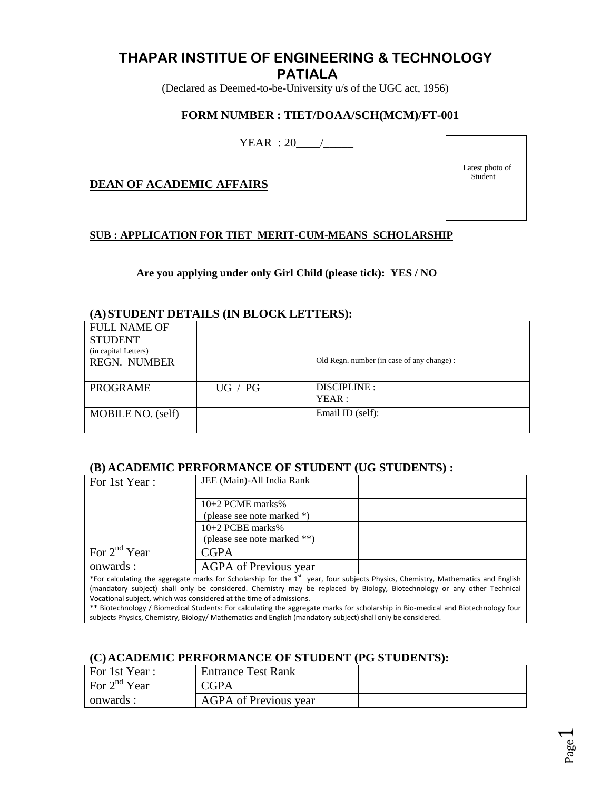# **THAPAR INSTITUE OF ENGINEERING & TECHNOLOGY PATIALA**

(Declared as Deemed-to-be-University u/s of the UGC act, 1956)

# **FORM NUMBER : TIET/DOAA/SCH(MCM)/FT-001**

 $YEAR : 20$  /

## **DEAN OF ACADEMIC AFFAIRS**

 Latest photo of Student

## **SUB : APPLICATION FOR TIET MERIT-CUM-MEANS SCHOLARSHIP**

#### **Are you applying under only Girl Child (please tick): YES / NO**

|                      | (A) DI CDENTI DETAILD (IN DEOCR EETTERD). |                                            |
|----------------------|-------------------------------------------|--------------------------------------------|
| <b>FULL NAME OF</b>  |                                           |                                            |
| <b>STUDENT</b>       |                                           |                                            |
| (in capital Letters) |                                           |                                            |
| <b>REGN. NUMBER</b>  |                                           | Old Regn. number (in case of any change) : |
|                      |                                           |                                            |
| PROGRAME             | UG / PG                                   | DISCIPLINE :                               |
|                      |                                           | YEAR :                                     |
| MOBILE NO. (self)    |                                           | Email ID (self):                           |
|                      |                                           |                                            |

# **(A)STUDENT DETAILS (IN BLOCK LETTERS):**

## **(B) ACADEMIC PERFORMANCE OF STUDENT (UG STUDENTS) :**

| For 1st Year:                                                                                                                                | JEE (Main)-All India Rank    |  |
|----------------------------------------------------------------------------------------------------------------------------------------------|------------------------------|--|
|                                                                                                                                              |                              |  |
|                                                                                                                                              | $10+2$ PCME marks%           |  |
|                                                                                                                                              | (please see note marked *)   |  |
|                                                                                                                                              | $10+2$ PCBE marks%           |  |
|                                                                                                                                              | (please see note marked **)  |  |
| For $2^{nd}$ Year                                                                                                                            | CGPA                         |  |
| onwards:                                                                                                                                     | <b>AGPA</b> of Previous year |  |
| *For calculating the aggregate marks for Scholarship for the 1 <sup>st</sup> year, four subjects Physics, Chemistry, Mathematics and English |                              |  |
| (mandatory subject) shall only be considered. Chemistry may be replaced by Biology, Biotechnology or any other Technical                     |                              |  |
| Vocational subject, which was considered at the time of admissions.                                                                          |                              |  |
| ** Biotechnology / Biomedical Students: For calculating the aggregate marks for scholarship in Bio-medical and Biotechnology four            |                              |  |
| subjects Physics, Chemistry, Biology/Mathematics and English (mandatory subject) shall only be considered.                                   |                              |  |

## **(C)ACADEMIC PERFORMANCE OF STUDENT (PG STUDENTS):**

| For 1st Year:             | <b>Entrance Test Rank</b>    |  |
|---------------------------|------------------------------|--|
| $\vert$ For $2^{nd}$ Year | <b>CGPA</b>                  |  |
| onwards:                  | <b>AGPA</b> of Previous year |  |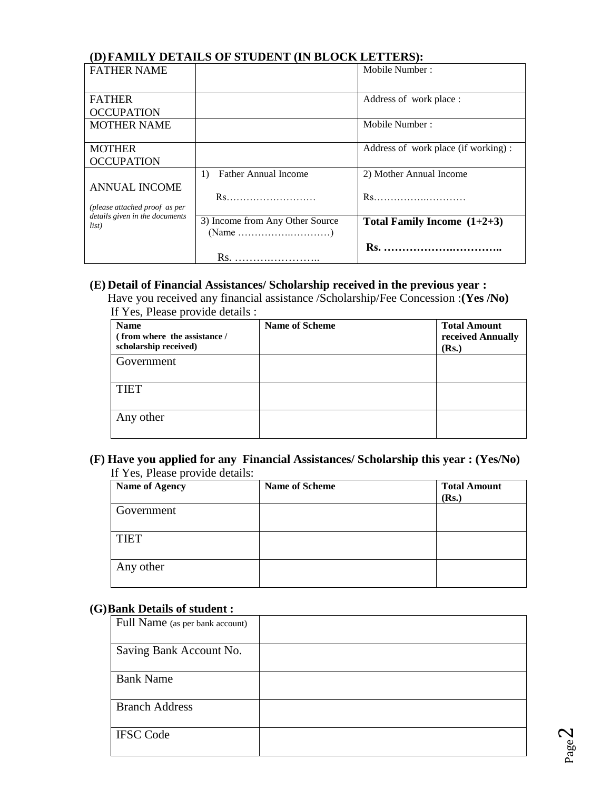# **(D)FAMILY DETAILS OF STUDENT (IN BLOCK LETTERS):**

| <b>FATHER NAME</b>                                              |                                                          | Mobile Number:                      |
|-----------------------------------------------------------------|----------------------------------------------------------|-------------------------------------|
| <b>FATHER</b>                                                   |                                                          | Address of work place:              |
| <b>OCCUPATION</b>                                               |                                                          |                                     |
| <b>MOTHER NAME</b>                                              |                                                          | Mobile Number:                      |
| <b>MOTHER</b>                                                   |                                                          | Address of work place (if working): |
| <b>OCCUPATION</b>                                               |                                                          |                                     |
|                                                                 | <b>Father Annual Income</b><br>$\left( \right)$          | 2) Mother Annual Income             |
| <b>ANNUAL INCOME</b>                                            |                                                          |                                     |
|                                                                 | Rs                                                       |                                     |
| (please attached proof as per<br>details given in the documents |                                                          |                                     |
| list)                                                           | 3) Income from Any Other Source                          | Total Family Income $(1+2+3)$       |
|                                                                 | $(Name \dots \dots \dots \dots \dots \dots \dots \dots)$ |                                     |
|                                                                 |                                                          |                                     |
|                                                                 | Rs.                                                      |                                     |

## **(E) Detail of Financial Assistances/ Scholarship received in the previous year :**

Have you received any financial assistance /Scholarship/Fee Concession :**(Yes /No)** If Yes, Please provide details :

| <b>Name</b><br>(from where the assistance /<br>scholarship received) | <b>Name of Scheme</b> | <b>Total Amount</b><br>received Annually<br>(Rs.) |
|----------------------------------------------------------------------|-----------------------|---------------------------------------------------|
| Government                                                           |                       |                                                   |
| <b>TIET</b>                                                          |                       |                                                   |
| Any other                                                            |                       |                                                   |

#### **(F) Have you applied for any Financial Assistances/ Scholarship this year : (Yes/No)** If Yes, Please provide details:

| Name of Agency | <b>Name of Scheme</b> | <b>Total Amount</b><br>(Rs.) |
|----------------|-----------------------|------------------------------|
| Government     |                       |                              |
| <b>TIET</b>    |                       |                              |
| Any other      |                       |                              |

### **(G)Bank Details of student :**

| Full Name (as per bank account) |  |
|---------------------------------|--|
|                                 |  |
| Saving Bank Account No.         |  |
| <b>Bank Name</b>                |  |
| <b>Branch Address</b>           |  |
| <b>IFSC Code</b>                |  |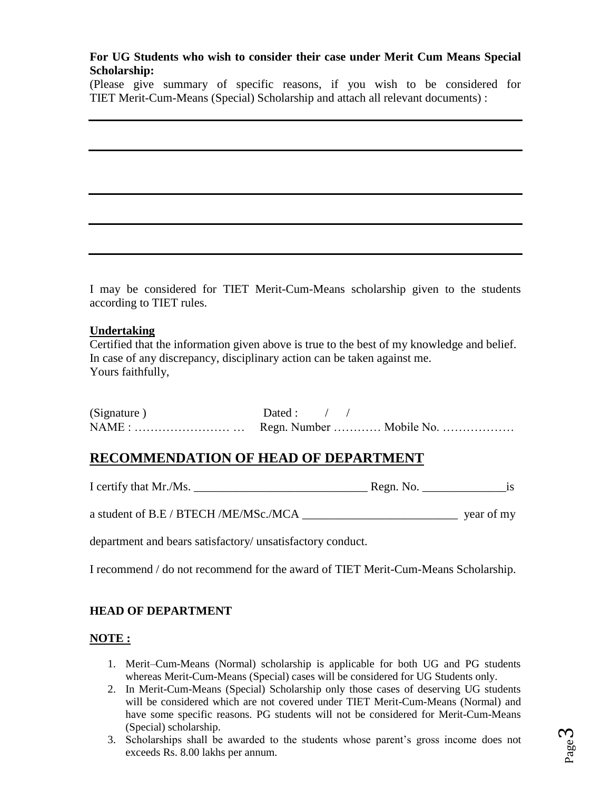# **For UG Students who wish to consider their case under Merit Cum Means Special Scholarship:**

(Please give summary of specific reasons, if you wish to be considered for TIET Merit-Cum-Means (Special) Scholarship and attach all relevant documents) :

I may be considered for TIET Merit-Cum-Means scholarship given to the students according to TIET rules.

## **Undertaking**

Certified that the information given above is true to the best of my knowledge and belief. In case of any discrepancy, disciplinary action can be taken against me. Yours faithfully,

| (Signature) | Dated: $\frac{1}{2}$ |
|-------------|----------------------|
|             |                      |

# **RECOMMENDATION OF HEAD OF DEPARTMENT**

I certify that Mr./Ms. \_\_\_\_\_\_\_\_\_\_\_\_\_\_\_\_\_\_\_\_\_\_\_\_\_\_\_\_\_ Regn. No. \_\_\_\_\_\_\_\_\_\_\_\_\_\_is

a student of B.E / BTECH /ME/MSc./MCA \_\_\_\_\_\_\_\_\_\_\_\_\_\_\_\_\_\_\_\_\_\_\_\_\_\_ year of my

department and bears satisfactory/ unsatisfactory conduct.

I recommend / do not recommend for the award of TIET Merit-Cum-Means Scholarship.

# **HEAD OF DEPARTMENT**

## **NOTE :**

- 1. Merit–Cum-Means (Normal) scholarship is applicable for both UG and PG students whereas Merit-Cum-Means (Special) cases will be considered for UG Students only.
- 2. In Merit-Cum-Means (Special) Scholarship only those cases of deserving UG students will be considered which are not covered under TIET Merit-Cum-Means (Normal) and have some specific reasons. PG students will not be considered for Merit-Cum-Means (Special) scholarship.
- 3. Scholarships shall be awarded to the students whose parent's gross income does not exceeds Rs. 8.00 lakhs per annum.